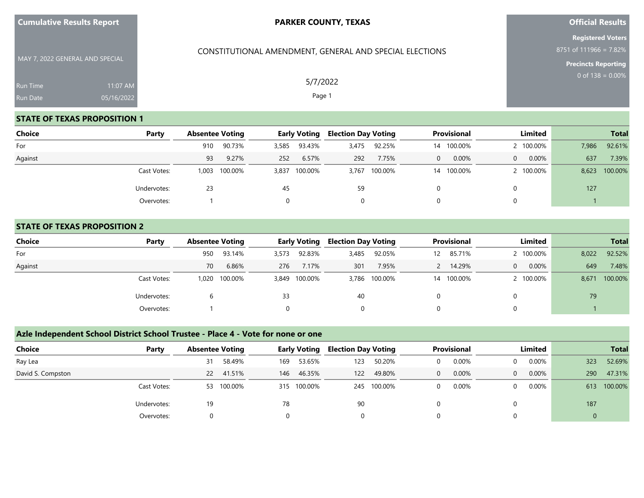| <b>Cumulative Results Report</b> |  |  |
|----------------------------------|--|--|
|----------------------------------|--|--|

CONSTITUTIONAL AMENDMENT, GENERAL AND SPECIAL ELECTIONS

## **Official Results**

**Registered Voters** 8751 of 111966 = 7.82%

**Precincts Reporting**

MAY 7, 2022 GENERAL AND SPECIAL Run Time Run Date 05/16/2022

## **STATE OF TEXAS PROPOSITION 1**

| Choice  | Party       |       | <b>Early Voting</b><br><b>Absentee Voting</b> |       | <b>Election Day Voting</b> |       | Provisional   |          | Limited |          |           | <b>Total</b> |         |
|---------|-------------|-------|-----------------------------------------------|-------|----------------------------|-------|---------------|----------|---------|----------|-----------|--------------|---------|
| For     |             | 910   | 90.73%                                        | 3,585 | 93.43%                     | 3,475 | 92.25%        | 14       | 100.00% |          | 2 100.00% | 7,986        | 92.61%  |
| Against |             | 93    | 9.27%                                         | 252   | 6.57%                      | 292   | 7.75%         | $\Omega$ | 0.00%   | $\Omega$ | 0.00%     | 637          | 7.39%   |
|         | Cast Votes: | 1,003 | 100.00%                                       |       | 3,837 100.00%              |       | 3,767 100.00% | 14       | 100.00% |          | 2 100.00% | 8,623        | 100.00% |
|         | Undervotes: | 23    |                                               | 45    |                            | 59    |               |          |         |          |           | 127          |         |
|         | Overvotes:  |       |                                               | 0     |                            | 0     |               | 0        |         |          |           |              |         |

#### **STATE OF TEXAS PROPOSITION 2**

| <b>Choice</b> | Party       |       | <b>Absentee Voting</b> |       | <b>Early Voting</b> | <b>Election Day Voting</b> |               | <b>Provisional</b> |         | Limited |           |       | <b>Total</b> |
|---------------|-------------|-------|------------------------|-------|---------------------|----------------------------|---------------|--------------------|---------|---------|-----------|-------|--------------|
| For           |             | 950   | 93.14%                 | 3,573 | 92.83%              | 3,485                      | 92.05%        | 12.                | 85.71%  |         | 2 100.00% | 8,022 | 92.52%       |
| Against       |             | 70    | 6.86%                  | 276   | 7.17%               | 301                        | 7.95%         |                    | 14.29%  | 0       | $0.00\%$  | 649   | 7.48%        |
|               | Cast Votes: | 1.020 | 100.00%                |       | 3,849 100.00%       |                            | 3,786 100.00% | 14                 | 100.00% |         | 2 100.00% | 8,671 | 100.00%      |
|               | Undervotes: |       |                        | 33    |                     | 40                         |               |                    |         |         |           | 79    |              |
|               | Overvotes:  |       |                        |       |                     | 0                          |               |                    |         |         |           |       |              |

## **Azle Independent School District School Trustee - Place 4 - Vote for none or one**

| <b>Choice</b><br>Party |    | <b>Absentee Voting</b> |     | <b>Early Voting</b> | <b>Election Day Voting</b> |         | <b>Provisional</b> |       | Limited  |          |     | <b>Total</b> |
|------------------------|----|------------------------|-----|---------------------|----------------------------|---------|--------------------|-------|----------|----------|-----|--------------|
| Ray Lea                | 31 | 58.49%                 | 169 | 53.65%              | 123                        | 50.20%  |                    | 0.00% | 0        | $0.00\%$ | 323 | 52.69%       |
| David S. Compston      | 22 | 41.51%                 | 146 | 46.35%              | 122                        | 49.80%  |                    | 0.00% | $\Omega$ | $0.00\%$ | 290 | 47.31%       |
| Cast Votes:            | 53 | 100.00%                |     | 315 100.00%         | 245                        | 100.00% |                    | 0.00% | 0        | $0.00\%$ | 613 | 100.00%      |
| Undervotes:            | 19 |                        | 78  |                     | 90                         |         |                    |       |          |          | 187 |              |
| Overvotes:             |    | $\Omega$               |     |                     |                            |         |                    |       |          |          |     |              |

5/7/2022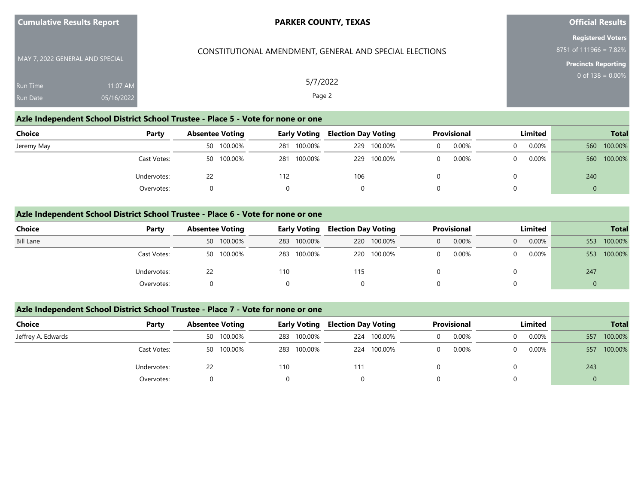| <b>Cumulative Results Report</b> |                        | <b>PARKER COUNTY, TEXAS</b>                             | <b>Official Results</b>                                                          |
|----------------------------------|------------------------|---------------------------------------------------------|----------------------------------------------------------------------------------|
| MAY 7, 2022 GENERAL AND SPECIAL  |                        | CONSTITUTIONAL AMENDMENT, GENERAL AND SPECIAL ELECTIONS | <b>Registered Voters</b><br>8751 of 111966 = 7.82%<br><b>Precincts Reporting</b> |
| Run Time<br>Run Date             | 11:07 AM<br>05/16/2022 | 5/7/2022<br>Page 2                                      | 0 of $138 = 0.00\%$                                                              |

#### **Azle Independent School District School Trustee - Place 5 - Vote for none or one**

| Choice<br>Party |  | <b>Absentee Voting</b> |     | <b>Early Voting</b> |     | <b>Election Day Voting</b> |  | Provisional |  | Limited  |     | <b>Total</b> |                |  |
|-----------------|--|------------------------|-----|---------------------|-----|----------------------------|--|-------------|--|----------|-----|--------------|----------------|--|
| Jeremy May      |  | 50 100.00%             | 281 | 100.00%             | 229 | 100.00%                    |  | 0.00%       |  | $0.00\%$ |     | 560 100.00%  |                |  |
| Cast Votes:     |  | 50 100.00%             | 281 | 100.00%             | 229 | 100.00%                    |  | $0.00\%$    |  | 0.00%    |     | 560 100.00%  |                |  |
| Undervotes:     |  |                        | 112 |                     | 106 |                            |  |             |  |          | 240 |              |                |  |
| Overvotes:      |  |                        |     |                     |     |                            |  |             |  |          |     |              | $\overline{0}$ |  |

## **Azle Independent School District School Trustee - Place 6 - Vote for none or one**

| Choice           | Party       |    | <b>Absentee Voting</b> |     | <b>Early Voting</b> | <b>Election Day Voting</b> |             | <b>Provisional</b> |       | Limited  |          |     | <b>Total</b> |
|------------------|-------------|----|------------------------|-----|---------------------|----------------------------|-------------|--------------------|-------|----------|----------|-----|--------------|
| <b>Bill Lane</b> |             |    | 50 100.00%             |     | 283 100.00%         |                            | 220 100.00% | $\Omega$           | 0.00% | $\Omega$ | $0.00\%$ | 553 | 100.00%      |
|                  | Cast Votes: |    | 50 100.00%             |     | 283 100.00%         |                            | 220 100.00% |                    | 0.00% | $\Omega$ | 0.00%    | 553 | 100.00%      |
|                  | Undervotes: | 22 |                        | 110 |                     | 115                        |             |                    |       |          |          | 247 |              |
|                  | Overvotes:  |    |                        |     |                     |                            |             |                    |       |          |          |     |              |

## **Azle Independent School District School Trustee - Place 7 - Vote for none or one**

| Choice             | Party       | <b>Absentee Voting</b> | <b>Early Voting</b> | <b>Election Day Voting</b> | Provisional | Limited | <b>Total</b>   |
|--------------------|-------------|------------------------|---------------------|----------------------------|-------------|---------|----------------|
| Jeffrey A. Edwards |             | 50 100.00%             | 283 100.00%         | 224 100.00%                | 0.00%       | 0.00%   | 100.00%<br>557 |
|                    | Cast Votes: | 50 100.00%             | 283 100.00%         | 224 100.00%                | $0.00\%$    | 0.00%   | 100.00%<br>557 |
|                    | Undervotes: | 22                     | 110                 | 111                        |             |         | 243            |
|                    | Overvotes:  |                        |                     |                            |             |         |                |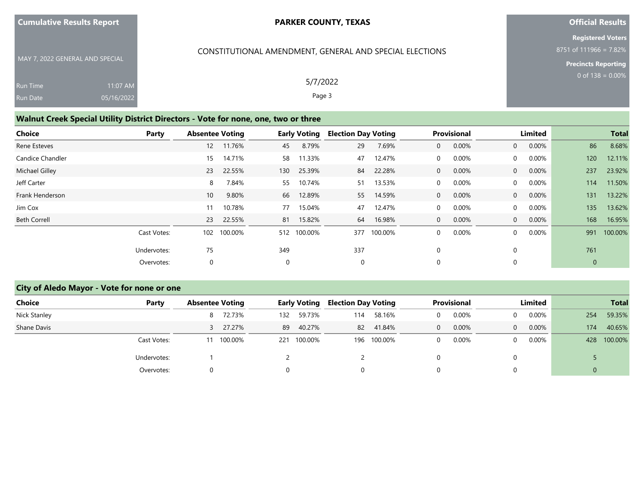| <b>Cumulative Results Report</b> |  |  |  |  |  |  |
|----------------------------------|--|--|--|--|--|--|
|----------------------------------|--|--|--|--|--|--|

**Official Results**

**Registered Voters** 8751 of 111966 = 7.82%

**Precincts Reporting**

| MAY 7, 2022 GENERAL AND SPECIAL |            |
|---------------------------------|------------|
| <b>Run Time</b>                 | $11:07$ AM |
| <b>Run Date</b>                 | 05/16/2022 |

## CONSTITUTIONAL AMENDMENT, GENERAL AND SPECIAL ELECTIONS

5/7/2022 Page 3

## **Walnut Creek Special Utility District Directors - Vote for none, one, two or three**

| Choice              | Party       | <b>Absentee Voting</b> |           |     | <b>Early Voting</b> | <b>Election Day Voting</b> |         |                | Provisional |                | Limited  |              | <b>Total</b> |
|---------------------|-------------|------------------------|-----------|-----|---------------------|----------------------------|---------|----------------|-------------|----------------|----------|--------------|--------------|
| Rene Esteves        |             |                        | 12 11.76% | 45  | 8.79%               | 29                         | 7.69%   | $\overline{0}$ | $0.00\%$    | $\overline{0}$ | 0.00%    | 86           | 8.68%        |
| Candice Chandler    |             | 15                     | 14.71%    | 58  | 11.33%              | 47                         | 12.47%  | 0              | $0.00\%$    | $\mathbf{0}$   | $0.00\%$ | 120          | 12.11%       |
| Michael Gilley      |             | 23                     | 22.55%    | 130 | 25.39%              | 84                         | 22.28%  | $\overline{0}$ | $0.00\%$    | $\overline{0}$ | 0.00%    | 237          | 23.92%       |
| Jeff Carter         |             | 8                      | 7.84%     | 55  | 10.74%              | 51                         | 13.53%  | 0              | $0.00\%$    | $\mathbf{0}$   | $0.00\%$ | 114          | 11.50%       |
| Frank Henderson     |             | 10                     | 9.80%     | 66  | 12.89%              | 55                         | 14.59%  | $\overline{0}$ | 0.00%       | $\overline{0}$ | $0.00\%$ | 131          | 13.22%       |
| Jim Cox             |             | 11                     | 10.78%    | 77  | 15.04%              | 47                         | 12.47%  | $\Omega$       | $0.00\%$    | $\overline{0}$ | $0.00\%$ | 135          | 13.62%       |
| <b>Beth Correll</b> |             | 23                     | 22.55%    | 81  | 15.82%              | 64                         | 16.98%  | $\overline{0}$ | $0.00\%$    | $\overline{0}$ | 0.00%    | 168          | 16.95%       |
|                     | Cast Votes: | 102                    | 100.00%   |     | 512 100.00%         | 377                        | 100.00% | 0              | $0.00\%$    | $\mathbf{0}$   | 0.00%    | 991          | 100.00%      |
|                     | Undervotes: | 75                     |           | 349 |                     | 337                        |         | $\Omega$       |             |                |          | 761          |              |
|                     | Overvotes:  | 0                      |           | 0   |                     | 0                          |         | $\Omega$       |             |                |          | $\mathbf{0}$ |              |

## **City of Aledo Mayor - Vote for none or one**

| Choice       | Party       |   | <b>Absentee Voting</b> |     | <b>Early Voting</b> |     | <b>Election Day Voting</b> |  | Provisional |          | Limited |     | <b>Total</b> |
|--------------|-------------|---|------------------------|-----|---------------------|-----|----------------------------|--|-------------|----------|---------|-----|--------------|
| Nick Stanley |             | 8 | 72.73%                 | 132 | 59.73%              | 114 | 58.16%                     |  | 0.00%       |          | 0.00%   | 254 | 59.35%       |
| Shane Davis  |             |   | 3 27.27%               | 89  | 40.27%              | 82  | 41.84%                     |  | $0.00\%$    | $\Omega$ | 0.00%   | 174 | 40.65%       |
|              | Cast Votes: |   | 100.00%                | 221 | 100.00%             |     | 196 100.00%                |  | 0.00%       |          | 0.00%   | 428 | 100.00%      |
|              | Undervotes: |   |                        |     |                     |     |                            |  |             |          |         |     |              |
|              | Overvotes:  | 0 |                        |     |                     |     |                            |  |             |          |         |     |              |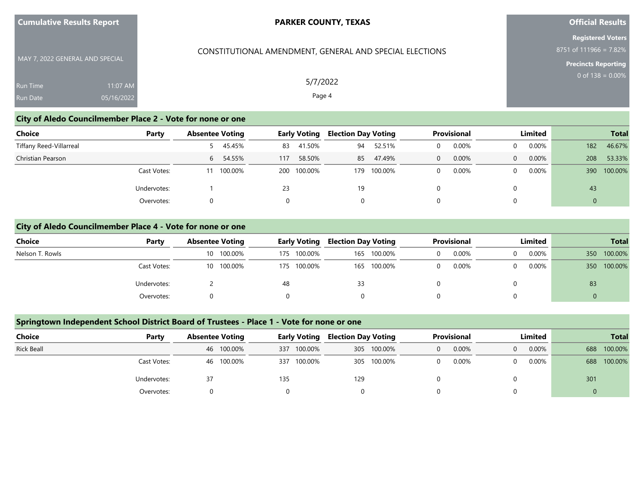| <b>Cumulative Results Report</b> |  |  |
|----------------------------------|--|--|
|----------------------------------|--|--|

## **Official Results**

**Registered Voters** 8751 of 111966 = 7.82%

**Precincts Reporting**

| MAY 7, 2022 GENERAL AND SPECIAL |            |  |
|---------------------------------|------------|--|
| <b>Run Time</b>                 | $11:07$ AM |  |
| Run Date                        | 05/16/2022 |  |

CONSTITUTIONAL AMENDMENT, GENERAL AND SPECIAL ELECTIONS

5/7/2022 Page 4

#### **City of Aledo Councilmember Place 2 - Vote for none or one**

| Choice                  | Party             | <b>Absentee Voting</b> | <b>Early Voting</b> | <b>Election Day Voting</b> | <b>Provisional</b> | <b>Limited</b>    | <b>Total</b>     |
|-------------------------|-------------------|------------------------|---------------------|----------------------------|--------------------|-------------------|------------------|
| Tiffany Reed-Villarreal |                   | 5 45.45%               | 41.50%<br>83        | 52.51%<br>94               | 0.00%              | $0.00\%$<br>0     | 46.67%<br>182    |
| Christian Pearson       |                   | 6 54.55%               | 58.50%<br>117       | 47.49%<br>85               | 0.00%              | 0.00%<br>$\Omega$ | 53.33%<br>208    |
|                         | Cast Votes:       | 100.00%                | 200 100.00%         | 100.00%<br>179             | 0.00%              | 0.00%<br>0        | 100.00%<br>390   |
|                         | 23<br>Undervotes: |                        |                     | 19                         |                    | 0                 | 43               |
|                         | Overvotes:        |                        |                     | 0                          |                    | 0                 | $\boldsymbol{0}$ |

#### **City of Aledo Councilmember Place 4 - Vote for none or one**

| Choice          | Party       | <b>Absentee Voting</b> | <b>Early Voting</b> | <b>Election Day Voting</b> | <b>Provisional</b> | Limited              | <b>Total</b>     |
|-----------------|-------------|------------------------|---------------------|----------------------------|--------------------|----------------------|------------------|
| Nelson T. Rowls |             | 10 100.00%             | 175 100.00%         | 165 100.00%                | 0.00%              | $0.00\%$<br>$\Omega$ | 100.00%<br>350   |
|                 | Cast Votes: | 10 100.00%             | 175 100.00%         | 165 100.00%                | 0.00%              | 0.00%<br>$\Omega$    | 100.00%<br>350 L |
|                 | Undervotes: |                        | 48                  | 33                         |                    |                      | 83               |
|                 | Overvotes:  |                        |                     |                            |                    |                      |                  |

#### **Springtown Independent School District Board of Trustees - Place 1 - Vote for none or one**

| <b>Choice</b>     | Party                     | <b>Absentee Voting</b> | <b>Early Voting</b> | <b>Provisional</b><br><b>Election Day Voting</b> |       | <b>Limited</b> | <b>Total</b>   |
|-------------------|---------------------------|------------------------|---------------------|--------------------------------------------------|-------|----------------|----------------|
| <b>Rick Beall</b> |                           | 46 100.00%             | 100.00%<br>337      | 305 100.00%                                      | 0.00% | $0.00\%$<br>0  | 100.00%<br>688 |
|                   | Cast Votes:<br>46 100.00% |                        | 100.00%<br>337      | 305 100.00%                                      | 0.00% | $0.00\%$<br>0  | 100.00%<br>688 |
|                   | Undervotes:               | 37                     | 135                 | 129                                              |       |                | 301            |
|                   | Overvotes:                |                        |                     |                                                  |       |                | U              |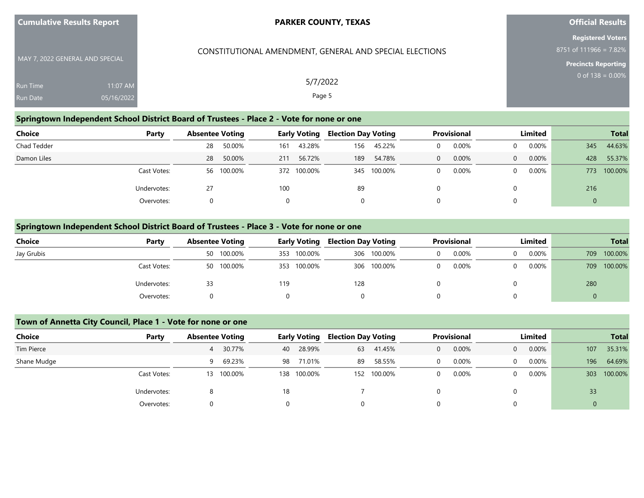| <b>Cumulative Results Report</b> |  |  |
|----------------------------------|--|--|
|----------------------------------|--|--|

## **Official Results**

**Registered Voters** 8751 of 111966 = 7.82%

> **Precincts Reporting** 0 of  $138 = 0.00\%$

MAY 7, 2022 GENERAL AND SPECIAL Run Time Run Date 11:07 AM 05/16/2022

5/7/2022

CONSTITUTIONAL AMENDMENT, GENERAL AND SPECIAL ELECTIONS

Page 5

## **Springtown Independent School District Board of Trustees - Place 2 - Vote for none or one**

| Choice<br>Party |    | <b>Absentee Voting</b> |     | <b>Early Voting</b> |     | <b>Election Day Voting</b> |          | <b>Provisional</b> |          | Limited  |     | <b>Total</b> |
|-----------------|----|------------------------|-----|---------------------|-----|----------------------------|----------|--------------------|----------|----------|-----|--------------|
| Chad Tedder     | 28 | 50.00%                 | 161 | 43.28%              | 156 | 45.22%                     | $\Omega$ | 0.00%              | 0        | $0.00\%$ | 345 | 44.63%       |
| Damon Liles     | 28 | 50.00%                 | 211 | 56.72%              | 189 | 54.78%                     | $\Omega$ | 0.00%              | $\Omega$ | 0.00%    | 428 | 55.37%       |
| Cast Votes:     |    | 56 100.00%             |     | 372 100.00%         | 345 | 100.00%                    |          | 0.00%              | 0        | $0.00\%$ | 773 | 100.00%      |
| Undervotes:     | 27 |                        | 100 |                     | 89  |                            |          |                    |          |          | 216 |              |
| Overvotes:      |    |                        | 0   |                     | 0   |                            |          |                    | 0        |          | 0   |              |

#### **Springtown Independent School District Board of Trustees - Place 3 - Vote for none or one**

| Choice     | Party                                    | <b>Absentee Voting</b> | <b>Early Voting</b> | <b>Election Day Voting</b> | <b>Provisional</b> | Limited           | <b>Total</b>   |
|------------|------------------------------------------|------------------------|---------------------|----------------------------|--------------------|-------------------|----------------|
| Jay Grubis |                                          | 50 100.00%             | 100.00%<br>353      | 306 100.00%                | 0.00%              | 0.00%<br>$\Omega$ | 100.00%<br>709 |
|            | 50 100.00%<br>353 100.00%<br>Cast Votes: |                        | 306 100.00%         | 0.00%                      | 0.00%<br>$\Omega$  | 100.00%<br>709    |                |
|            | Undervotes:                              | 33                     | 119                 | 128                        |                    |                   | 280            |
|            | Overvotes:                               |                        |                     | 0                          |                    |                   |                |

#### **Town of Annetta City Council, Place 1 - Vote for none or one**

| Choice      | Party       | <b>Absentee Voting</b> |     | <b>Early Voting</b> | <b>Election Day Voting</b> |         | <b>Provisional</b> |       |          | Limited  |     | <b>Total</b> |
|-------------|-------------|------------------------|-----|---------------------|----------------------------|---------|--------------------|-------|----------|----------|-----|--------------|
| Tim Pierce  |             | 30.77%                 | 40  | 28.99%              | 63                         | 41.45%  |                    | 0.00% | $\Omega$ | 0.00%    | 107 | 35.31%       |
| Shane Mudge |             | 69.23%                 | 98  | 71.01%              | 89                         | 58.55%  |                    | 0.00% | 0        | $0.00\%$ | 196 | 64.69%       |
|             | Cast Votes: | 100.00%<br>13          | 138 | 100.00%             | 152                        | 100.00% |                    | 0.00% | 0        | 0.00%    | 303 | 100.00%      |
|             | Undervotes: |                        | 18  |                     |                            |         |                    |       | 0        |          | 33  |              |
|             | Overvotes:  |                        | 0   |                     |                            |         | 0                  |       | ν        |          |     |              |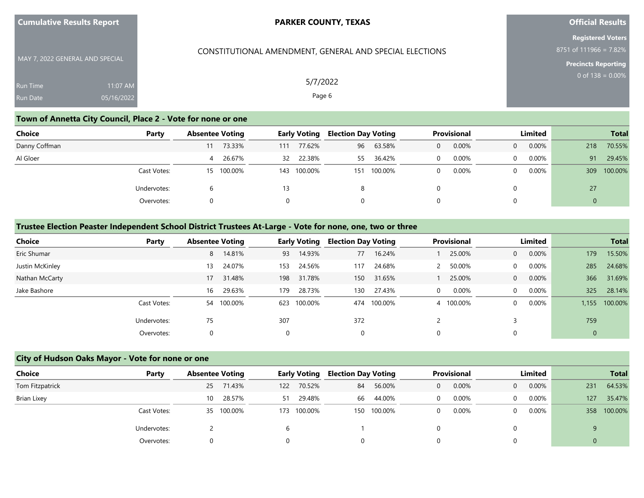| <b>Cumulative Results Report</b> |  |  |
|----------------------------------|--|--|
|----------------------------------|--|--|

## **Official Results**

**Registered Voters** 8751 of 111966 = 7.82%

**Precincts Reporting**

MAY 7, 2022 GENERAL AND SPECIAL Run Time Run Date 11:07 AM 05/16/2022

## CONSTITUTIONAL AMENDMENT, GENERAL AND SPECIAL ELECTIONS

5/7/2022 Page 6

## **Town of Annetta City Council, Place 2 - Vote for none or one**

| Choice        | Party                                                              | <b>Absentee Voting</b> |        |     | <b>Early Voting</b> | <b>Election Day Voting</b> |        |          | Provisional |          | Limited  |     | <b>Total</b> |
|---------------|--------------------------------------------------------------------|------------------------|--------|-----|---------------------|----------------------------|--------|----------|-------------|----------|----------|-----|--------------|
| Danny Coffman |                                                                    | 11                     | 73.33% | 111 | 77.62%              | 96                         | 63.58% | 0        | 0.00%       | $\Omega$ | 0.00%    | 218 | 70.55%       |
| Al Gloer      |                                                                    | 4                      | 26.67% | 32  | 22.38%              | 55                         | 36.42% |          | 0.00%       | $\Omega$ | $0.00\%$ | 91  | 29.45%       |
|               | Cast Votes:<br>15 100.00%<br>143 100.00%<br>Undervotes:<br>13<br>h |                        |        | 151 | 100.00%             |                            | 0.00%  | $\Omega$ | $0.00\%$    | 309      | 100.00%  |     |              |
|               |                                                                    |                        | 8      |     |                     | 0                          |        |          | 27          |          |          |     |              |
|               | Overvotes:                                                         |                        |        |     | $\Omega$            |                            | 0      |          | 0           |          | 0        |     |              |

#### **Trustee Election Peaster Independent School District Trustees At-Large - Vote for none, one, two or three**

| <b>Choice</b>   | Party       | <b>Absentee Voting</b> |     | <b>Early Voting</b> | <b>Election Day Voting</b> |             |          | <b>Provisional</b> |                | Limited  |                | <b>Total</b> |
|-----------------|-------------|------------------------|-----|---------------------|----------------------------|-------------|----------|--------------------|----------------|----------|----------------|--------------|
| Eric Shumar     |             | 14.81%<br>8            | 93  | 14.93%              | 77                         | 16.24%      |          | 25.00%             | $\overline{0}$ | 0.00%    | 179            | 15.50%       |
| Justin McKinley |             | 24.07%<br>13           | 153 | 24.56%              | 117                        | 24.68%      |          | 50.00%             | $\Omega$       | 0.00%    | 285            | 24.68%       |
| Nathan McCarty  |             | 31.48%<br>17           | 198 | 31.78%              | 150                        | 31.65%      |          | 25.00%             | $\Omega$       | $0.00\%$ | 366            | 31.69%       |
| Jake Bashore    |             | 29.63%<br>16           | 179 | 28.73%              | 130                        | 27.43%      | $\Omega$ | 0.00%              | $\Omega$       | 0.00%    | 325            | 28.14%       |
|                 | Cast Votes: | 54 100.00%             | 623 | 100.00%             |                            | 474 100.00% |          | 4 100.00%          | $\Omega$       | $0.00\%$ | 1.155          | 100.00%      |
|                 | Undervotes: | 75                     | 307 |                     | 372                        |             |          |                    |                |          | 759            |              |
|                 | Overvotes:  | 0                      |     |                     | 0                          |             |          |                    |                |          | $\overline{0}$ |              |

#### **City of Hudson Oaks Mayor - Vote for none or one**

| Choice<br>Party | <b>Absentee Voting</b> | <b>Early Voting</b> | <b>Election Day Voting</b> | <b>Provisional</b> | Limited              | <b>Total</b>  |
|-----------------|------------------------|---------------------|----------------------------|--------------------|----------------------|---------------|
| Tom Fitzpatrick | 25 71.43%              | 70.52%<br>122       | 56.00%<br>84               | 0.00%<br>0         | $0.00\%$<br>$\Omega$ | 64.53%<br>231 |
| Brian Lixey     | 28.57%<br>10           | 29.48%<br>51        | 44.00%<br>66               | 0.00%<br>0         | $0.00\%$             | 35.47%<br>127 |
| Cast Votes:     | 35 100.00%             | 100.00%<br>173      | 100.00%<br>150             | 0.00%<br>0         | $0.00\%$             | 358 100.00%   |
| Undervotes:     |                        |                     |                            |                    |                      |               |
| Overvotes:      |                        |                     |                            |                    |                      |               |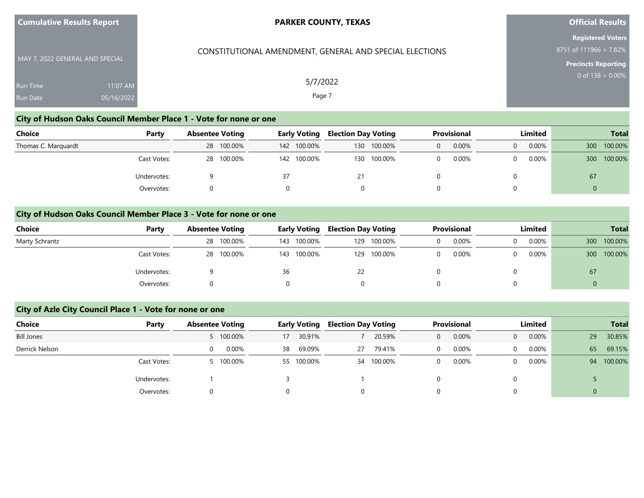| <b>Cumulative Results Report</b> |                        | <b>PARKER COUNTY, TEXAS</b>                             | <b>Official Results</b>                                                          |
|----------------------------------|------------------------|---------------------------------------------------------|----------------------------------------------------------------------------------|
| MAY 7, 2022 GENERAL AND SPECIAL  |                        | CONSTITUTIONAL AMENDMENT, GENERAL AND SPECIAL ELECTIONS | <b>Registered Voters</b><br>8751 of 111966 = 7.82%<br><b>Precincts Reporting</b> |
| Run Time<br>Run Date             | 11:07 AM<br>05/16/2022 | 5/7/2022<br>Page 7                                      | 0 of $138 = 0.00\%$                                                              |

#### **City of Hudson Oaks Council Member Place 1 - Vote for none or one**

| Choice              | Party       | <b>Absentee Voting</b> |            | <b>Early Voting</b> |     | <b>Election Day Voting</b> |  | <b>Provisional</b> |  | Limited  |     | <b>Total</b> |
|---------------------|-------------|------------------------|------------|---------------------|-----|----------------------------|--|--------------------|--|----------|-----|--------------|
| Thomas C. Marguardt |             |                        | 28 100.00% | 142 100.00%         | 130 | 100.00%                    |  | 0.00%              |  | $0.00\%$ | 300 | 100.00%      |
|                     | Cast Votes: |                        | 28 100.00% | 142 100.00%         |     | 130 100.00%                |  | 0.00%              |  | $0.00\%$ | 300 | 100.00%      |
|                     | Undervotes: |                        |            |                     |     |                            |  |                    |  |          | 67  |              |
|                     | Overvotes:  |                        |            |                     |     |                            |  |                    |  |          | 0   |              |

## **City of Hudson Oaks Council Member Place 3 - Vote for none or one**

| Choice         | Party       | <b>Absentee Voting</b> |            |    | <b>Early Voting</b> |     | <b>Election Day Voting</b> |  | <b>Provisional</b> |   | Limited  |     |         |  | <b>Total</b> |
|----------------|-------------|------------------------|------------|----|---------------------|-----|----------------------------|--|--------------------|---|----------|-----|---------|--|--------------|
| Marty Schrantz |             |                        | 28 100.00% |    | 143 100.00%         | 129 | 100.00%                    |  | 0.00%              | 0 | $0.00\%$ | 300 | 100.00% |  |              |
|                | Cast Votes: |                        | 28 100.00% |    | 143 100.00%         | 129 | 100.00%                    |  | 0.00%              | 0 | $0.00\%$ | 300 | 100.00% |  |              |
|                | Undervotes: |                        |            | 36 |                     | 22  |                            |  |                    |   |          | 67  |         |  |              |
|                | Overvotes:  |                        |            |    |                     |     | 0                          |  |                    |   |          |     |         |  |              |

## **City of Azle City Council Place 1 - Vote for none or one**

| <b>Choice</b><br>Party | <b>Absentee Voting</b> | <b>Early Voting</b> | <b>Election Day Voting</b> | <b>Provisional</b> | Limited              | <b>Total</b>  |
|------------------------|------------------------|---------------------|----------------------------|--------------------|----------------------|---------------|
| <b>Bill Jones</b>      | 5 100.00%              | 30.91%<br>17        | 20.59%                     | 0.00%<br>0         | 0.00%<br>$\Omega$    | 29<br>30.85%  |
| Derrick Nelson         | 0.00%                  | 69.09%<br>38        | 79.41%<br>27               | 0.00%<br>0         | $0.00\%$<br>$\Omega$ | 65<br>69.15%  |
| Cast Votes:            | 5 100.00%              | 55 100.00%          | 34 100.00%                 | 0.00%<br>0         | $0.00\%$<br>$\Omega$ | 100.00%<br>94 |
| Undervotes:            |                        |                     |                            | 0                  |                      |               |
| Overvotes:             |                        |                     | 0                          | 0                  |                      | 0             |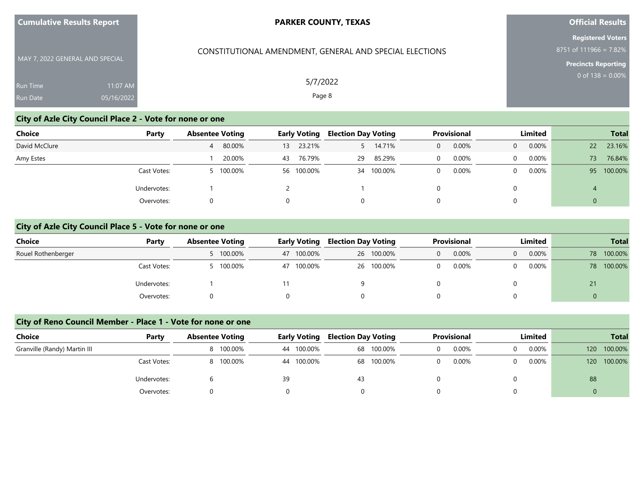| <b>Cumulative Results Report</b> |  |  |
|----------------------------------|--|--|
|----------------------------------|--|--|

CONSTITUTIONAL AMENDMENT, GENERAL AND SPECIAL ELECTIONS

## **Official Results**

**Registered Voters** 8751 of 111966 = 7.82%

**Precincts Reporting**

| MAY 7, 2022 GENERAL AND SPECIAL |            |  |
|---------------------------------|------------|--|
| <b>Run Time</b>                 | $11:07$ AM |  |
| <b>Run Date</b>                 | 05/16/2022 |  |

# **City of Azle City Council Place 2 - Vote for none or one**

| <b>Choice</b><br>Party | <b>Absentee Voting</b> | <b>Early Voting</b> | <b>Election Day Voting</b> | Provisional           | Limited                    | <b>Total</b>   |
|------------------------|------------------------|---------------------|----------------------------|-----------------------|----------------------------|----------------|
| David McClure          | 4 80.00%               | 23.21%<br>13        | 14.71%                     | 0.00%<br>$\mathbf{0}$ | $0.00\%$<br>$\overline{0}$ | 23.16%<br>22   |
| Amy Estes              | 20.00%                 | 76.79%<br>43        | 85.29%<br>29               | 0.00%<br>$\Omega$     | $0.00\%$<br>$\Omega$       | 76.84%<br>73.  |
| Cast Votes:            | 5 100.00%              | 56 100.00%          | 100.00%<br>34              | 0.00%<br>$\Omega$     | $0.00\%$<br>$\Omega$       | 95 100.00%     |
| Undervotes:            |                        |                     |                            |                       |                            | $\overline{4}$ |
| Overvotes:             |                        |                     | 0                          | 0                     | 0                          | $\mathbf{0}$   |

#### **City of Azle City Council Place 5 - Vote for none or one**

| Choice             | Party       | <b>Absentee Voting</b> | <b>Early Voting</b> | <b>Election Day Voting</b> | <b>Provisional</b> | Limited                    | <b>Total</b>  |
|--------------------|-------------|------------------------|---------------------|----------------------------|--------------------|----------------------------|---------------|
| Rouel Rothenberger |             | 5 100.00%              | 47 100.00%          | 26 100.00%                 | 0.00%<br>0         | $0.00\%$<br>$\overline{0}$ | 100.00%<br>78 |
|                    | Cast Votes: | 5 100.00%              | 47 100.00%          | 26 100.00%                 | 0.00%              | $0.00\%$<br>0              | 100.00%<br>78 |
|                    | Undervotes: |                        |                     |                            |                    |                            | 21            |
|                    | Overvotes:  |                        |                     |                            |                    |                            |               |

## **City of Reno Council Member - Place 1 - Vote for none or one**

| <b>Choice</b>                | Party       | <b>Absentee Voting</b> | <b>Early Voting</b> | <b>Election Day Voting</b> | <b>Provisional</b> | Limited    | <b>Total</b>                |
|------------------------------|-------------|------------------------|---------------------|----------------------------|--------------------|------------|-----------------------------|
| Granville (Randy) Martin III |             | 8 100.00%              | 44 100.00%          | 68 100.00%                 | 0.00%              | 0.00%<br>0 | 100.00%<br>120 <sup>°</sup> |
|                              | Cast Votes: | 8 100.00%              | 44 100.00%          | 68 100.00%                 | 0.00%              | 0.00%<br>0 | 100.00%<br>120 <sup>1</sup> |
|                              | Undervotes: |                        | 39                  | 43                         |                    |            | 88                          |
|                              | Overvotes:  |                        |                     |                            |                    |            |                             |

5/7/2022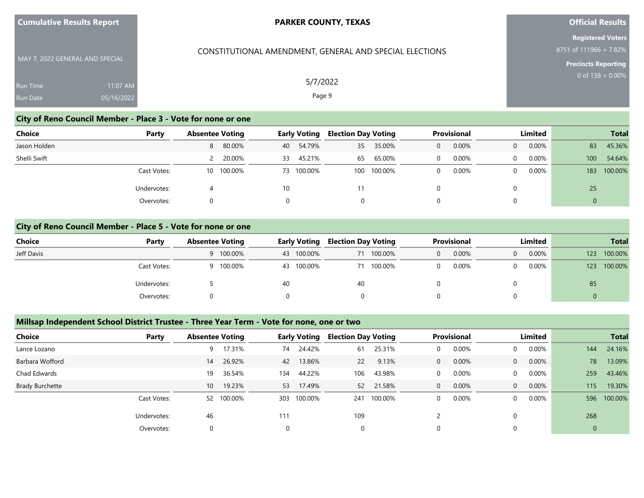| <b>Cumulative Results Report</b> |  |  |
|----------------------------------|--|--|
|----------------------------------|--|--|

## **Official Results**

**Registered Voters** 8751 of 111966 = 7.82%

**Precincts Reporting**

MAY 7, 2022 GENERAL AND SPECIAL Run Time Run Date 11:07 AM 05/16/2022

5/7/2022

CONSTITUTIONAL AMENDMENT, GENERAL AND SPECIAL ELECTIONS

Page 9

## **City of Reno Council Member - Place 3 - Vote for none or one**

| Choice       | Party       | <b>Absentee Voting</b> |            |    | <b>Early Voting</b> |     | <b>Election Day Voting</b> |   | Provisional |          | Limited  |                  | <b>Total</b> |
|--------------|-------------|------------------------|------------|----|---------------------|-----|----------------------------|---|-------------|----------|----------|------------------|--------------|
| Jason Holden |             |                        | 8 80.00%   | 40 | 54.79%              | 35  | 35.00%                     | 0 | 0.00%       | $\Omega$ | $0.00\%$ | 83               | 45.36%       |
| Shelli Swift |             |                        | 20.00%     | 33 | 45.21%              | 65  | 65.00%                     |   | 0.00%       | $\Omega$ | 0.00%    | 100              | 54.64%       |
|              | Cast Votes: |                        | 10 100.00% |    | 73 100.00%          | 100 | 100.00%                    |   | 0.00%       | 0        | 0.00%    | 183              | 100.00%      |
|              | Undervotes: |                        |            | 10 |                     |     |                            |   |             | 0        |          | 25               |              |
|              | Overvotes:  |                        |            |    |                     | 0   |                            |   |             | 0        |          | $\boldsymbol{0}$ |              |

#### **City of Reno Council Member - Place 5 - Vote for none or one**

| <b>Choice</b> | Party       | <b>Absentee Voting</b> | <b>Early Voting</b> | <b>Election Day Voting</b> | <b>Provisional</b> | Limited              | <b>Total</b>   |
|---------------|-------------|------------------------|---------------------|----------------------------|--------------------|----------------------|----------------|
| Jeff Davis    |             | 9 100.00%              | 43 100.00%          | 71 100.00%                 | 0.00%<br>0         | $0.00\%$<br>$\Omega$ | 100.00%<br>123 |
|               | Cast Votes: | 100.00%                | 43 100.00%          | 71 100.00%                 | 0.00%              | $0.00\%$             | 100.00%<br>123 |
|               | Undervotes: |                        | 40                  | 40                         |                    |                      | 85             |
|               | Overvotes:  |                        |                     |                            |                    |                      | 0              |

#### **Millsap Independent School District Trustee - Three Year Term - Vote for none, one or two**

| <b>Choice</b>          | Party       | <b>Absentee Voting</b> |            |     | <b>Early Voting</b> | <b>Election Day Voting</b> |         |   | <b>Provisional</b> |                | Limited  |     | <b>Total</b> |
|------------------------|-------------|------------------------|------------|-----|---------------------|----------------------------|---------|---|--------------------|----------------|----------|-----|--------------|
| Lance Lozano           |             | 9                      | 17.31%     | 74  | 24.42%              | 61                         | 25.31%  |   | 0.00%              | $\Omega$       | 0.00%    | 144 | 24.16%       |
| Barbara Wofford        |             | 14                     | 26.92%     | 42  | 13.86%              | 22                         | 9.13%   | 0 | 0.00%              | $\overline{0}$ | $0.00\%$ | 78  | 13.09%       |
| Chad Edwards           |             | 19                     | 36.54%     | 134 | 44.22%              | 106                        | 43.98%  |   | 0.00%              | $\mathbf{0}$   | 0.00%    | 259 | 43.46%       |
| <b>Brady Burchette</b> |             | 10 <sup>°</sup>        | 19.23%     | 53  | 17.49%              | 52                         | 21.58%  | 0 | 0.00%              | $\overline{0}$ | $0.00\%$ | 115 | 19.30%       |
|                        | Cast Votes: |                        | 52 100.00% | 303 | 100.00%             | 241                        | 100.00% |   | 0.00%              | $\Omega$       | $0.00\%$ | 596 | 100.00%      |
|                        | Undervotes: | 46                     |            | 111 |                     | 109                        |         |   |                    | 0              |          | 268 |              |
|                        | Overvotes:  |                        |            |     |                     | 0                          |         |   |                    | 0              |          | 0   |              |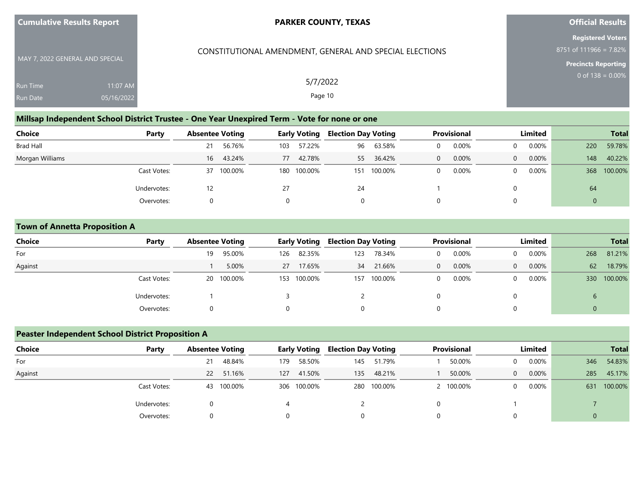| <b>Cumulative Results Report</b> |
|----------------------------------|
|----------------------------------|

CONSTITUTIONAL AMENDMENT, GENERAL AND SPECIAL ELECTIONS

## **Official Results**

**Registered Voters** 8751 of 111966 = 7.82%

**Precincts Reporting**

MAY 7, 2022 GENERAL AND SPECIAL Run Time Run Date 11:07 AM 05/16/2022

5/7/2022 Page 10

## **Millsap Independent School District Trustee - One Year Unexpired Term - Vote for none or one**

| <b>Choice</b><br>Party | <b>Absentee Voting</b> | <b>Early Voting</b> | <b>Election Day Voting</b> | <b>Provisional</b> | Limited              | <b>Total</b>   |
|------------------------|------------------------|---------------------|----------------------------|--------------------|----------------------|----------------|
| Brad Hall              | 56.76%<br>21           | 57.22%<br>103       | 63.58%<br>96               | 0.00%              | $0.00\%$<br>$\Omega$ | 59.78%<br>220  |
| Morgan Williams        | 43.24%<br>16           | 42.78%<br>77        | 36.42%<br>55               | 0.00%<br>$\Omega$  | 0.00%<br>$\Omega$    | 40.22%<br>148  |
| Cast Votes:            | 100.00%<br>37          | 180 100.00%         | 100.00%<br>151             | 0.00%              | $0.00\%$<br>$\Omega$ | 100.00%<br>368 |
| Undervotes:            | 12                     | 27                  | 24                         |                    | 0                    | 64             |
| Overvotes:             |                        |                     | 0                          |                    | $\Omega$             | 0              |

#### **Town of Annetta Proposition A**

| <b>Choice</b> | Party       | <b>Absentee Voting</b> | <b>Early Voting</b> | <b>Election Day Voting</b> | <b>Provisional</b>   | Limited              | <b>Total</b>   |
|---------------|-------------|------------------------|---------------------|----------------------------|----------------------|----------------------|----------------|
| For           |             | 95.00%<br>19           | 82.35%<br>126       | 78.34%<br>123              | 0.00%<br>$\Omega$    | $0.00\%$<br>$\Omega$ | 81.21%<br>268  |
| Against       |             | 5.00%                  | 27 17.65%           | 21.66%<br>34               | 0.00%<br>$\Omega$    | $0.00\%$<br>$\Omega$ | 62<br>18.79%   |
|               | Cast Votes: | 20 100.00%             | 153 100.00%         | 100.00%<br>157             | 0.00%<br>$\mathbf 0$ | $0.00\%$<br>$\Omega$ | 100.00%<br>330 |
|               | Undervotes: |                        |                     |                            |                      | 0                    | $\sigma$       |
|               | Overvotes:  |                        |                     | 0                          |                      | 0                    | U              |

#### **Peaster Independent School District Proposition A**

| <b>Choice</b> | Party       | <b>Absentee Voting</b> |           | <b>Early Voting</b> |             | <b>Election Day Voting</b> |             | <b>Provisional</b> |         | Limited        |          |                | <b>Total</b> |
|---------------|-------------|------------------------|-----------|---------------------|-------------|----------------------------|-------------|--------------------|---------|----------------|----------|----------------|--------------|
| For           |             | 21                     | 48.84%    | 179                 | 58.50%      | 145                        | 51.79%      |                    | 50.00%  | $\Omega$       | 0.00%    | 346            | 54.83%       |
| Against       |             |                        | 22 51.16% | 127                 | 41.50%      | 135                        | 48.21%      |                    | 50.00%  | $\overline{0}$ | 0.00%    | 285            | 45.17%       |
|               | Cast Votes: | 43                     | 100.00%   |                     | 306 100.00% |                            | 280 100.00% |                    | 100.00% | $\Omega$       | $0.00\%$ |                | 631 100.00%  |
|               | Undervotes: |                        |           |                     |             |                            |             |                    |         |                |          |                |              |
|               | Overvotes:  |                        |           |                     |             |                            |             |                    |         |                |          | $\overline{0}$ |              |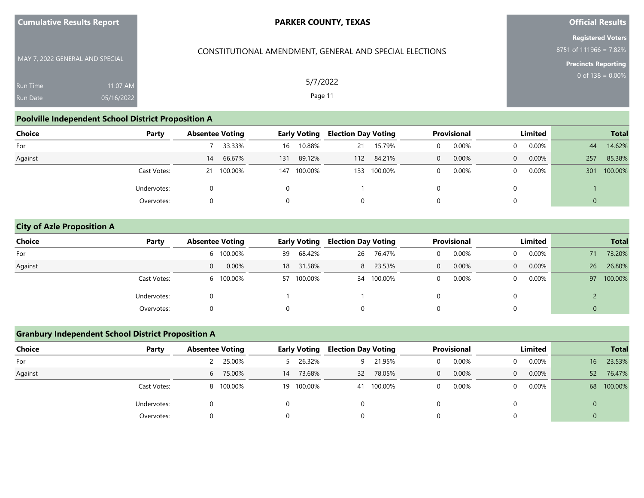| <b>Cumulative Results Report</b> |  |  |
|----------------------------------|--|--|
|----------------------------------|--|--|

## **Official Results**

**Registered Voters** 8751 of 111966 = 7.82%

**Precincts Reporting**

MAY 7, 2022 GENERAL AND SPECIAL Run Time Run Date 05/16/2022

## CONSTITUTIONAL AMENDMENT, GENERAL AND SPECIAL ELECTIONS

5/7/2022 Page 11

## **Poolville Independent School District Proposition A**

| <b>Choice</b> | Party       | <b>Absentee Voting</b> |         | <b>Early Voting</b> |         | <b>Election Day Voting</b> |         | <b>Provisional</b> |       | Limited  |          |                  | <b>Total</b> |
|---------------|-------------|------------------------|---------|---------------------|---------|----------------------------|---------|--------------------|-------|----------|----------|------------------|--------------|
| For           |             |                        | 33.33%  | 16                  | 10.88%  | 21                         | 15.79%  | $\Omega$           | 0.00% | $\Omega$ | $0.00\%$ | 44               | 14.62%       |
| Against       |             | 14                     | 66.67%  | 131                 | 89.12%  | 112                        | 84.21%  | $\Omega$           | 0.00% | $\Omega$ | 0.00%    | 257              | 85.38%       |
|               | Cast Votes: | 21                     | 100.00% | 147                 | 100.00% | 133                        | 100.00% | $\Omega$           | 0.00% | $\Omega$ | $0.00\%$ | 301              | 100.00%      |
|               | Undervotes: |                        |         |                     |         |                            |         |                    |       | 0        |          |                  |              |
|               | Overvotes:  |                        |         |                     |         |                            | Ü       |                    | U     |          | $\Omega$ | $\boldsymbol{0}$ |              |

#### **City of Azle Proposition A**

| <b>Choice</b> | Party       | <b>Absentee Voting</b> | <b>Early Voting</b> | <b>Election Day Voting</b> | <b>Provisional</b>    | Limited           | <b>Total</b> |
|---------------|-------------|------------------------|---------------------|----------------------------|-----------------------|-------------------|--------------|
| For           |             | 6 100.00%              | 68.42%<br>39        | 76.47%<br>26               | 0.00%                 | 0.00%<br>0        | 73.20%<br>71 |
| Against       |             | 0.00%<br>0             | 18 31.58%           | 8 23.53%                   | 0.00%<br>$\mathbf{0}$ | 0.00%<br>$\Omega$ | 26<br>26.80% |
|               | Cast Votes: | 6 100.00%              | 57 100.00%          | 34 100.00%                 | 0.00%                 | 0.00%<br>0        | 97 100.00%   |
|               | Undervotes: |                        |                     |                            |                       |                   |              |
|               | Overvotes:  |                        |                     | 0                          |                       |                   | 0            |

#### **Granbury Independent School District Proposition A**

| Choice  | Party       | <b>Absentee Voting</b> | <b>Early Voting</b> | <b>Election Day Voting</b> | <b>Provisional</b> | Limited                 | <b>Total</b>              |
|---------|-------------|------------------------|---------------------|----------------------------|--------------------|-------------------------|---------------------------|
| For     |             | 2 25.00%               | 5 26.32%            | 21.95%<br>Q                | 0.00%              | 0.00%<br>$\Omega$       | 23.53%<br>16 <sup>1</sup> |
| Against |             | 6 75.00%               | 14 73.68%           | 78.05%<br>32               | 0.00%<br>$\Omega$  | 0.00%<br>$\overline{0}$ | 76.47%<br>52              |
|         | Cast Votes: | 8 100.00%              | 19 100.00%          | 41 100.00%                 | 0.00%              | $0.00\%$<br>$\Omega$    | 68 100.00%                |
|         | Undervotes: |                        |                     |                            |                    |                         | $\mathbf{0}$              |
|         | Overvotes:  |                        |                     |                            |                    |                         | $\overline{0}$            |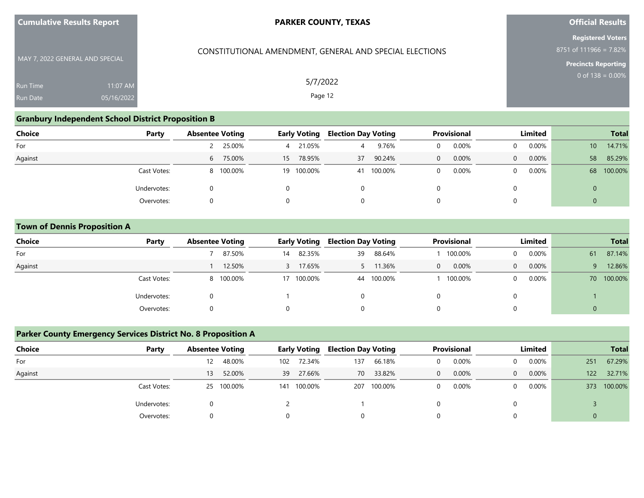| <b>Cumulative Results Report</b> |  |  |
|----------------------------------|--|--|
|----------------------------------|--|--|

## **Official Results**

**Registered Voters** 8751 of 111966 = 7.82%

**Precincts Reporting**

MAY 7, 2022 GENERAL AND SPECIAL Run Time Run Date 11:07 AM 05/16/2022

## CONSTITUTIONAL AMENDMENT, GENERAL AND SPECIAL ELECTIONS

5/7/2022 Page 12

#### **Granbury Independent School District Proposition B**

| Choice  | Party       | <b>Absentee Voting</b> |           |    | <b>Early Voting</b> | <b>Election Day Voting</b> |            |   | <b>Provisional</b> |          | Limited  |              | <b>Total</b> |
|---------|-------------|------------------------|-----------|----|---------------------|----------------------------|------------|---|--------------------|----------|----------|--------------|--------------|
| For     |             |                        | 2 25.00%  | 4  | 21.05%              | 4                          | 9.76%      |   | 0.00%              |          | 0.00%    | 10           | 14.71%       |
| Against |             |                        | 6 75.00%  | 15 | 78.95%              | 37                         | 90.24%     | 0 | 0.00%              | $\Omega$ | $0.00\%$ | 58           | 85.29%       |
|         | Cast Votes: |                        | 8 100.00% |    | 19 100.00%          |                            | 41 100.00% | 0 | 0.00%              | 0        | $0.00\%$ | 68           | 100.00%      |
|         | Undervotes: |                        |           |    |                     | 0                          |            |   |                    |          |          | $\mathbf{0}$ |              |
|         | Overvotes:  |                        |           |    |                     | 0                          |            | 0 |                    |          |          | $\mathbf{0}$ |              |

#### **Town of Dennis Proposition A**

| <b>Choice</b> | Party       | <b>Absentee Voting</b> | <b>Early Voting</b> | <b>Election Day Voting</b> | <b>Provisional</b>    | Limited                    | <b>Total</b> |
|---------------|-------------|------------------------|---------------------|----------------------------|-----------------------|----------------------------|--------------|
| For           |             | 87.50%                 | 82.35%<br>14        | 88.64%<br>39               | 100.00%               | $0.00\%$<br>$\Omega$       | 87.14%<br>61 |
| Against       |             | 12.50%                 | 17.65%              | 11.36%                     | 0.00%<br>$\mathbf{0}$ | $0.00\%$<br>$\overline{0}$ | 12.86%<br>9  |
|               | Cast Votes: | 8 100.00%              | 17 100.00%          | 44 100.00%                 | 100.00%               | $0.00\%$<br>$\mathbf{0}$   | 70 100.00%   |
|               | Undervotes: |                        |                     | O                          |                       | 0                          |              |
|               | Overvotes:  |                        |                     | 0                          | U                     | 0                          | υ            |

## **Parker County Emergency Services District No. 8 Proposition A**

| <b>Choice</b> | Party       | <b>Absentee Voting</b> |         |            | <b>Early Voting</b> | <b>Election Day Voting</b> |             |          | Provisional |          | Limited |                | <b>Total</b> |
|---------------|-------------|------------------------|---------|------------|---------------------|----------------------------|-------------|----------|-------------|----------|---------|----------------|--------------|
| For           |             | 12                     | 48.00%  | 102        | 72.34%              | 137                        | 66.18%      |          | 0.00%       | $\Omega$ | 0.00%   | 251            | 67.29%       |
| Against       |             | 13 <sup>13</sup>       | 52.00%  |            | 39 27.66%           | 70                         | 33.82%      | $\Omega$ | 0.00%       | $\Omega$ | 0.00%   | 122            | 32.71%       |
|               | Cast Votes: | 25                     | 100.00% | 141        | 100.00%             |                            | 207 100.00% |          | 0.00%       | $\Omega$ | 0.00%   |                | 373 100.00%  |
|               | Undervotes: |                        |         |            |                     |                            |             |          |             |          |         |                |              |
|               | Overvotes:  |                        |         | $^{\circ}$ |                     |                            |             |          |             |          |         | $\overline{0}$ |              |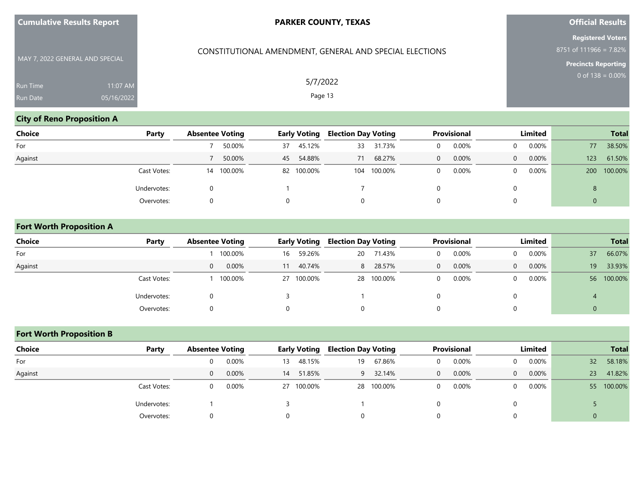|  | <b>Cumulative Results Report</b> |  |  |
|--|----------------------------------|--|--|
|--|----------------------------------|--|--|

CONSTITUTIONAL AMENDMENT, GENERAL AND SPECIAL ELECTIONS

## **Official Results**

**Registered Voters** 8751 of 111966 = 7.82%

**Precincts Reporting**

MAY 7, 2022 GENERAL AND SPECIAL Run Time Run Date 05/16/2022

## **City of Reno Proposition A**

| <b>Choice</b> | Party       | <b>Absentee Voting</b> |            |          | <b>Early Voting</b> | <b>Election Day Voting</b> |             |          | Provisional |          | Limited  |             | <b>Total</b> |
|---------------|-------------|------------------------|------------|----------|---------------------|----------------------------|-------------|----------|-------------|----------|----------|-------------|--------------|
| For           |             |                        | 50.00%     | 37       | 45.12%              | 33                         | 31.73%      | 0        | 0.00%       |          | $0.00\%$ | 77          | 38.50%       |
| Against       |             |                        | 50.00%     | 45       | 54.88%              | 71                         | 68.27%      | $\Omega$ | 0.00%       | $\Omega$ | 0.00%    | 123         | 61.50%       |
|               | Cast Votes: |                        | 14 100.00% |          | 82 100.00%          |                            | 104 100.00% | 0        | 0.00%       | $\Omega$ | $0.00\%$ | 200         | 100.00%      |
|               | Undervotes: |                        |            |          |                     |                            |             |          |             |          |          | 8           |              |
|               | Overvotes:  |                        |            | $\Omega$ |                     | 0                          |             | $\Omega$ |             |          |          | $\mathbf 0$ |              |

#### **Fort Worth Proposition A**

| <b>Choice</b> | Party       | <b>Absentee Voting</b> | <b>Early Voting</b> | <b>Election Day Voting</b> | <b>Provisional</b>    | Limited              | <b>Total</b>   |
|---------------|-------------|------------------------|---------------------|----------------------------|-----------------------|----------------------|----------------|
| For           |             | 100.00%                | 59.26%<br>16        | 71.43%<br>20               | 0.00%<br>$\Omega$     | $0.00\%$<br>$\Omega$ | 66.07%<br>37   |
| Against       |             | 0.00%<br>$\Omega$      | 40.74%<br>11        | 28.57%<br>8                | 0.00%<br>$\mathbf{0}$ | 0.00%<br>$\Omega$    | 33.93%<br>19   |
|               | Cast Votes: | 100.00%                | 27 100.00%          | 28 100.00%                 | 0.00%<br>$\Omega$     | $0.00\%$<br>$\Omega$ | 56 100.00%     |
|               | Undervotes: |                        |                     |                            |                       | 0                    | $\overline{a}$ |
|               | Overvotes:  |                        |                     | Ü                          |                       | 0                    | υ              |

## **Fort Worth Proposition B**

| Choice  | Party       | <b>Absentee Voting</b> |          |    | <b>Early Voting</b> | <b>Election Day Voting</b> |            |          | Provisional |                | Limited  |                 | <b>Total</b> |
|---------|-------------|------------------------|----------|----|---------------------|----------------------------|------------|----------|-------------|----------------|----------|-----------------|--------------|
| For     |             | 0                      | $0.00\%$ | 13 | 48.15%              | 19                         | 67.86%     |          | 0.00%       |                | 0.00%    | 32 <sup>2</sup> | 58.18%       |
| Against |             | $\overline{0}$         | 0.00%    |    | 14 51.85%           | 9                          | 32.14%     | $\Omega$ | 0.00%       | $\overline{0}$ | 0.00%    | 23              | 41.82%       |
|         | Cast Votes: | $\mathbf{U}$           | $0.00\%$ |    | 27 100.00%          |                            | 28 100.00% |          | 0.00%       | $\Omega$       | $0.00\%$ | 55              | 100.00%      |
|         | Undervotes: |                        |          |    |                     |                            |            |          |             |                |          |                 |              |
|         | Overvotes:  |                        |          |    |                     |                            |            |          |             |                |          | 0               |              |

5/7/2022 Page 13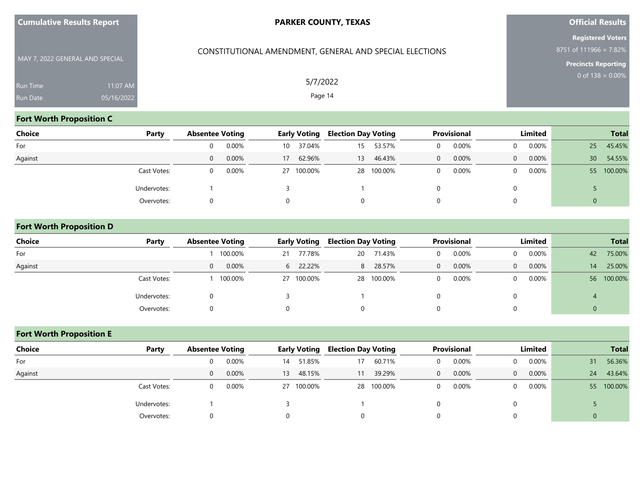| <b>Cumulative Results Report</b> |  |  |
|----------------------------------|--|--|
|----------------------------------|--|--|

CONSTITUTIONAL AMENDMENT, GENERAL AND SPECIAL ELECTIONS

## **Official Results**

**Registered Voters** 8751 of 111966 = 7.82%

**Precincts Reporting**

| MAY 7, 2022 GENERAL AND SPECIAL |            |
|---------------------------------|------------|
| <b>Run Time</b>                 | $11:07$ AM |
| <b>Run Date</b>                 | 05/16/2022 |

5/7/2022

Page 14

## **Fort Worth Proposition C**

| <b>Choice</b> | Party       | <b>Absentee Voting</b> |          |                 | <b>Early Voting</b> | <b>Election Day Voting</b> |            |   | <b>Provisional</b> |          | Limited  |                 | <b>Total</b> |
|---------------|-------------|------------------------|----------|-----------------|---------------------|----------------------------|------------|---|--------------------|----------|----------|-----------------|--------------|
| For           |             | $\Omega$               | 0.00%    | 10              | 37.04%              | 15                         | 53.57%     | 0 | 0.00%              | $\Omega$ | $0.00\%$ | 25              | 45.45%       |
| Against       |             | $\Omega$               | 0.00%    | 17 <sup>1</sup> | 62.96%              | 13                         | 46.43%     | 0 | 0.00%              | $\Omega$ | 0.00%    | 30 <sup>°</sup> | 54.55%       |
|               | Cast Votes: | 0                      | $0.00\%$ |                 | 27 100.00%          |                            | 28 100.00% | 0 | 0.00%              | $\Omega$ | $0.00\%$ | 55              | 100.00%      |
|               | Undervotes: |                        |          |                 |                     |                            |            |   |                    |          |          |                 |              |
|               | Overvotes:  |                        |          |                 |                     | 0                          |            | 0 |                    |          |          | $\mathbf 0$     |              |

#### **Fort Worth Proposition D**

| <b>Choice</b> | Party       | <b>Absentee Voting</b> | <b>Early Voting</b> | <b>Election Day Voting</b> |            | <b>Provisional</b>    | Limited              | <b>Total</b> |
|---------------|-------------|------------------------|---------------------|----------------------------|------------|-----------------------|----------------------|--------------|
| For           |             | 100.00%                | 77.78%<br>21        | 20                         | 71.43%     | 0.00%<br>0            | $0.00\%$<br>$\Omega$ | 75.00%<br>42 |
| Against       |             | $0.00\%$<br>$\Omega$   | 6 22.22%            | 8                          | 28.57%     | 0.00%<br>$\mathbf{0}$ | 0.00%<br>$\Omega$    | 25.00%<br>14 |
|               | Cast Votes: | 100.00%                | 27 100.00%          |                            | 28 100.00% | 0.00%<br>0            | $0.00\%$<br>$\Omega$ | 56 100.00%   |
|               | Undervotes: |                        |                     |                            |            |                       |                      | 4            |
|               | Overvotes:  |                        |                     | 0                          |            |                       |                      | $\mathbf 0$  |

## **Fort Worth Proposition E**

| <b>Choice</b><br>Party | <b>Absentee Voting</b> |    | <b>Early Voting</b> | <b>Election Day Voting</b> |            |              | Provisional |                | Limited  |    | <b>Total</b> |
|------------------------|------------------------|----|---------------------|----------------------------|------------|--------------|-------------|----------------|----------|----|--------------|
| For                    | 0.00%<br>$\Omega$      | 14 | 51.85%              | 17                         | 60.71%     | $\Omega$     | $0.00\%$    | $\Omega$       | $0.00\%$ | 31 | 56.36%       |
| Against                | 0.00%<br>$\Omega$      | 13 | 48.15%              | 11                         | 39.29%     | $\mathbf{0}$ | 0.00%       | $\overline{0}$ | 0.00%    | 24 | 43.64%       |
| Cast Votes:            | 0.00%<br>$\Omega$      |    | 27 100.00%          |                            | 28 100.00% | $\Omega$     | $0.00\%$    | $\Omega$       | $0.00\%$ | 55 | 100.00%      |
| Undervotes:            |                        |    |                     |                            |            |              |             |                |          |    |              |
| Overvotes:             | $\Omega$               | 0  |                     | 0                          |            | 0            |             |                |          | 0  |              |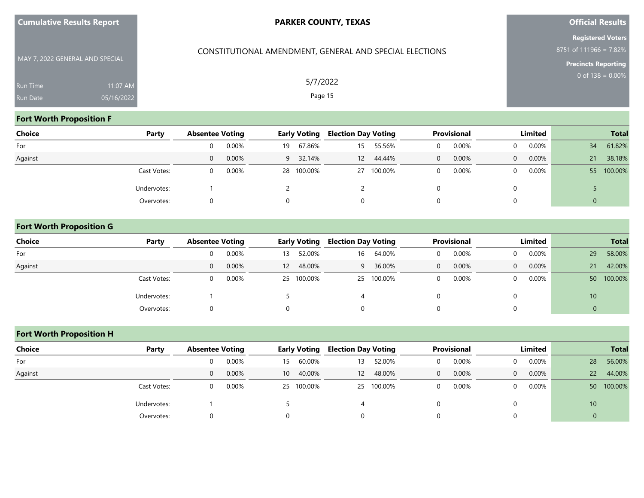| <b>Cumulative Results Report</b> |  |  |
|----------------------------------|--|--|
|----------------------------------|--|--|

CONSTITUTIONAL AMENDMENT, GENERAL AND SPECIAL ELECTIONS

## **Official Results**

**Registered Voters** 8751 of 111966 = 7.82%

**Precincts Reporting**

MAY 7, 2022 GENERAL AND SPECIAL Run Time Run Date 05/16/2022

## 5/7/2022 Page 15

## **Fort Worth Proposition F**

| <b>Choice</b> | Party       |          | <b>Absentee Voting</b> |    | <b>Early Voting</b> |    | <b>Election Day Voting</b> |   | Provisional |          | Limited  |              | <b>Total</b> |
|---------------|-------------|----------|------------------------|----|---------------------|----|----------------------------|---|-------------|----------|----------|--------------|--------------|
| For           |             | 0        | 0.00%                  | 19 | 67.86%              | 15 | 55.56%                     |   | 0.00%       | $\Omega$ | 0.00%    | 34           | 61.82%       |
| Against       |             | $\Omega$ | 0.00%                  | 9  | 32.14%              | 12 | 44.44%                     | 0 | 0.00%       | $\Omega$ | $0.00\%$ | 21           | 38.18%       |
|               | Cast Votes: | 0        | 0.00%                  |    | 28 100.00%          |    | 27 100.00%                 | 0 | 0.00%       | 0        | 0.00%    |              | 55 100.00%   |
|               | Undervotes: |          |                        |    |                     |    |                            |   |             |          |          |              |              |
|               | Overvotes:  |          |                        |    |                     | 0  |                            |   |             |          |          | $\mathbf{0}$ |              |

#### **Fort Worth Proposition G**

| <b>Choice</b> | Party       |          | <b>Absentee Voting</b> |    | <b>Early Voting</b> |    | <b>Election Day Voting</b> |              | <b>Provisional</b> |          | Limited  |    | <b>Total</b> |
|---------------|-------------|----------|------------------------|----|---------------------|----|----------------------------|--------------|--------------------|----------|----------|----|--------------|
| For           |             |          | 0.00%                  | 13 | 52.00%              | 16 | 64.00%                     | $\Omega$     | 0.00%              | $\Omega$ | $0.00\%$ | 29 | 58.00%       |
| Against       |             | $\Omega$ | 0.00%                  | 12 | 48.00%              | 9  | 36.00%                     | $\mathbf{0}$ | 0.00%              | $\Omega$ | 0.00%    | 21 | 42.00%       |
|               | Cast Votes: |          | 0.00%                  |    | 25 100.00%          |    | 25 100.00%                 | $\Omega$     | 0.00%              | $\Omega$ | $0.00\%$ |    | 50 100.00%   |
|               | Undervotes: |          |                        |    |                     |    |                            |              |                    | 0        |          | 10 |              |
|               | Overvotes:  |          |                        |    |                     | O  |                            |              |                    | 0        |          | υ  |              |

## **Fort Worth Proposition H**

| <b>Choice</b> | Party       |   | <b>Absentee Voting</b> |    | <b>Early Voting</b> |          | <b>Election Day Voting</b> | <b>Provisional</b> |       | Limited        |          |                 | <b>Total</b> |
|---------------|-------------|---|------------------------|----|---------------------|----------|----------------------------|--------------------|-------|----------------|----------|-----------------|--------------|
| For           |             |   | 0.00%                  | 15 | 60.00%              | 13       | 52.00%                     | $\Omega$           | 0.00% |                | 0.00%    | 28              | 56.00%       |
| Against       |             | 0 | 0.00%                  | 10 | 40.00%              | 12       | 48.00%                     | $\mathbf{0}$       | 0.00% | $\overline{0}$ | 0.00%    | 22              | 44.00%       |
|               | Cast Votes: |   | 0.00%                  |    | 25 100.00%          |          | 25 100.00%                 | $\Omega$           | 0.00% | 0              | $0.00\%$ | 50 <sup>°</sup> | 100.00%      |
|               | Undervotes: |   |                        |    |                     |          |                            |                    |       |                |          | 10 <sup>°</sup> |              |
|               | Overvotes:  |   |                        |    |                     | $\Omega$ |                            |                    |       |                |          | 0               |              |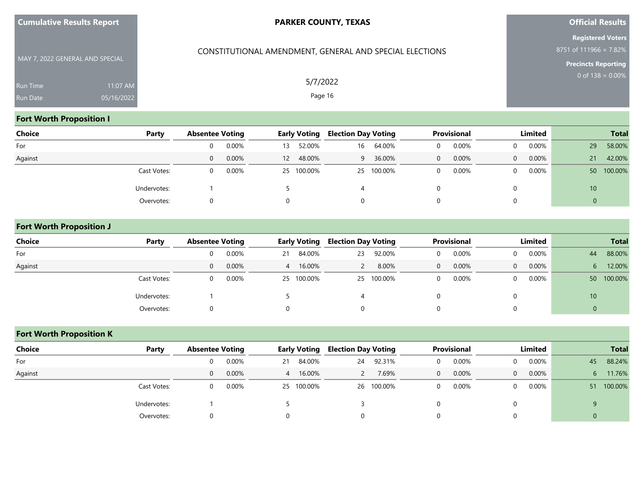CONSTITUTIONAL AMENDMENT, GENERAL AND SPECIAL ELECTIONS

## **Official Results**

**Registered Voters** 8751 of 111966 = 7.82%

**Precincts Reporting**

MAY 7, 2022 GENERAL AND SPECIAL Run Time Run Date 05/16/2022

## **Fort Worth Proposition I**

| <b>Choice</b> | Party       |   | <b>Absentee Voting</b> |          | <b>Early Voting</b> | <b>Election Day Voting</b> |            |   | <b>Provisional</b> | Limited  |          |             |         |
|---------------|-------------|---|------------------------|----------|---------------------|----------------------------|------------|---|--------------------|----------|----------|-------------|---------|
| For           |             |   | 0.00%                  | 13       | 52.00%              | 16                         | 64.00%     | 0 | 0.00%              | $\Omega$ | $0.00\%$ | 29          | 58.00%  |
| Against       |             | 0 | 0.00%                  | 12       | 48.00%              | 9                          | 36.00%     | 0 | 0.00%              | $\Omega$ | 0.00%    | 21          | 42.00%  |
|               | Cast Votes: |   | 0.00%                  |          | 25 100.00%          |                            | 25 100.00% | 0 | $0.00\%$           | 0        | $0.00\%$ | 50          | 100.00% |
|               | Undervotes: |   |                        |          |                     |                            |            |   |                    |          |          | 10          |         |
|               | Overvotes:  |   |                        | $\Omega$ |                     | 0                          |            | 0 |                    |          |          | $\mathbf 0$ |         |

#### **Fort Worth Proposition J**

| <b>Choice</b> | Party       |          | <b>Absentee Voting</b> |    | <b>Early Voting</b> |          | <b>Election Day Voting</b> | <b>Provisional</b> |       | Limited  |          |             | <b>Total</b> |
|---------------|-------------|----------|------------------------|----|---------------------|----------|----------------------------|--------------------|-------|----------|----------|-------------|--------------|
| For           |             | 0        | 0.00%                  | 21 | 84.00%              | 23       | 92.00%                     | 0                  | 0.00% | $\Omega$ | $0.00\%$ | 44          | 88.00%       |
| Against       |             | $\Omega$ | 0.00%                  | 4  | 16.00%              |          | 8.00%                      | $\Omega$           | 0.00% | $\Omega$ | $0.00\%$ | 6           | 12.00%       |
|               | Cast Votes: | 0        | 0.00%                  |    | 25 100.00%          |          | 25 100.00%                 | 0                  | 0.00% | $\Omega$ | $0.00\%$ |             | 50 100.00%   |
|               | Undervotes: |          |                        |    |                     | 4        |                            |                    |       |          |          | 10          |              |
|               | Overvotes:  |          |                        |    |                     | $\Omega$ |                            | 0                  |       |          |          | $\mathbf 0$ |              |

## **Fort Worth Proposition K**

| <b>Choice</b> | Party       |          | <b>Absentee Voting</b> |   | <b>Early Voting</b> |          | <b>Election Day Voting</b> |          | Provisional | Limited        |          |    |         |
|---------------|-------------|----------|------------------------|---|---------------------|----------|----------------------------|----------|-------------|----------------|----------|----|---------|
| For           |             | 0        | 0.00%                  |   | 21 84.00%           | 24       | 92.31%                     | $\Omega$ | 0.00%       | 0              | $0.00\%$ | 45 | 88.24%  |
| Against       |             | $\Omega$ | 0.00%                  | 4 | 16.00%              |          | 7.69%                      | $\Omega$ | 0.00%       | $\overline{0}$ | $0.00\%$ | 6  | 11.76%  |
|               | Cast Votes: | 0        | 0.00%                  |   | 25 100.00%          |          | 26 100.00%                 | $\Omega$ | 0.00%       | $\Omega$       | $0.00\%$ | 51 | 100.00% |
|               | Undervotes: |          |                        |   |                     |          |                            |          |             |                |          |    |         |
|               | Overvotes:  |          |                        |   |                     | $\Omega$ |                            |          |             |                |          |    |         |

5/7/2022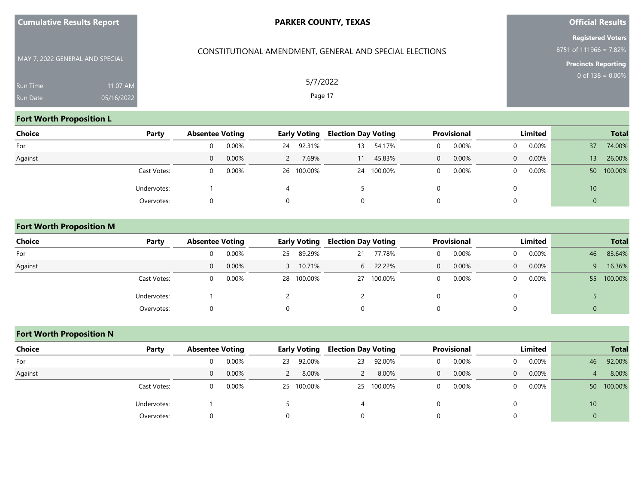| <b>Cumulative Results Report</b> |  |  |
|----------------------------------|--|--|
|----------------------------------|--|--|

CONSTITUTIONAL AMENDMENT, GENERAL AND SPECIAL ELECTIONS

## **Official Results**

**Registered Voters** 8751 of 111966 = 7.82%

**Precincts Reporting**

| MAY 7, 2022 GENERAL AND SPECIAL |            |
|---------------------------------|------------|
| <b>Run Time</b>                 | $11:07$ AM |
| <b>Run Date</b>                 | 05/16/2022 |

5/7/2022

Page 17

## **Fort Worth Proposition L**

| <b>Choice</b> | Party       |          | <b>Absentee Voting</b> |    | <b>Early Voting</b> |    | <b>Election Day Voting</b> |          | Provisional | Limited  |          |                 |            |
|---------------|-------------|----------|------------------------|----|---------------------|----|----------------------------|----------|-------------|----------|----------|-----------------|------------|
| For           |             | 0        | 0.00%                  | 24 | 92.31%              | 13 | 54.17%                     | $\Omega$ | $0.00\%$    |          | 0.00%    | 37              | 74.00%     |
| Against       |             | $\Omega$ | 0.00%                  |    | 7.69%               | 11 | 45.83%                     | 0        | 0.00%       | $\Omega$ | $0.00\%$ | 13 <sup>°</sup> | 26.00%     |
|               | Cast Votes: |          | 0.00%                  |    | 26 100.00%          |    | 24 100.00%                 |          | 0.00%       |          | $0.00\%$ |                 | 50 100.00% |
|               | Undervotes: |          |                        |    |                     |    |                            |          |             |          |          | 10              |            |
|               | Overvotes:  |          |                        |    |                     | 0  |                            |          |             |          |          | $\mathbf{0}$    |            |

## **Fort Worth Proposition M**

| <b>Choice</b> | Party       |   | <b>Absentee Voting</b> |    | <b>Early Voting</b> | <b>Election Day Voting</b> |            | <b>Provisional</b> |          | Limited  |          |    | <b>Total</b> |
|---------------|-------------|---|------------------------|----|---------------------|----------------------------|------------|--------------------|----------|----------|----------|----|--------------|
| For           |             |   | 0.00%                  | 25 | 89.29%              | 21                         | 77.78%     |                    | $0.00\%$ | 0        | $0.00\%$ | 46 | 83.64%       |
| Against       |             | 0 | 0.00%                  | 3. | 10.71%              | 6                          | 22.22%     | $\Omega$           | 0.00%    | $\Omega$ | 0.00%    | 9  | 16.36%       |
|               | Cast Votes: |   | 0.00%                  |    | 28 100.00%          |                            | 27 100.00% | $\Omega$           | 0.00%    | 0        | $0.00\%$ |    | 55 100.00%   |
|               | Undervotes: |   |                        |    |                     |                            |            |                    |          |          |          |    |              |
|               | Overvotes:  |   |                        |    |                     | 0                          |            |                    |          |          |          | 0  |              |

## **Fort Worth Proposition N**

| <b>Choice</b> | Party       |          | <b>Absentee Voting</b> |    | <b>Early Voting</b> |    | <b>Election Day Voting</b> |   | <b>Provisional</b> | Limited        |          |                |            |
|---------------|-------------|----------|------------------------|----|---------------------|----|----------------------------|---|--------------------|----------------|----------|----------------|------------|
| For           |             | $\Omega$ | 0.00%                  | 23 | 92.00%              | 23 | 92.00%                     |   | 0.00%              | $\Omega$       | 0.00%    | 46             | 92.00%     |
| Against       |             | $\Omega$ | 0.00%                  |    | 8.00%               |    | 8.00%                      | 0 | 0.00%              | $\overline{0}$ | $0.00\%$ | $\overline{4}$ | 8.00%      |
|               | Cast Votes: | 0        | 0.00%                  |    | 25 100.00%          |    | 25 100.00%                 |   | 0.00%              | 0              | $0.00\%$ |                | 50 100.00% |
|               | Undervotes: |          |                        |    |                     |    |                            |   |                    |                |          | 10             |            |
|               | Overvotes:  | $\Omega$ |                        |    |                     | 0  |                            |   |                    |                |          |                |            |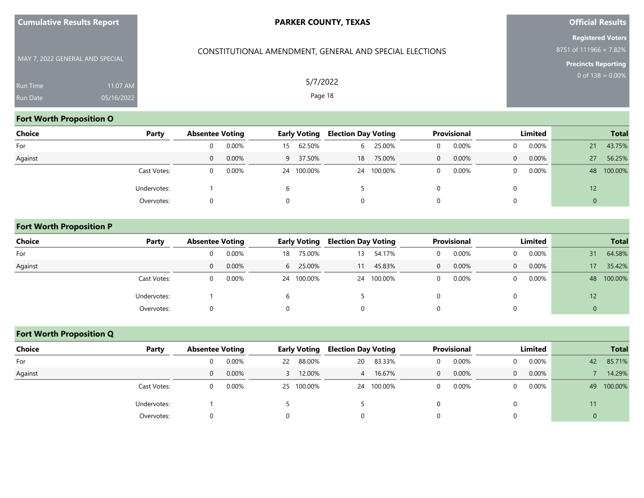CONSTITUTIONAL AMENDMENT, GENERAL AND SPECIAL ELECTIONS

## **Official Results**

**Registered Voters** 8751 of 111966 = 7.82%

**Precincts Reporting**

MAY 7, 2022 GENERAL AND SPECIAL Run Time Run Date 05/16/2022

## **Fort Worth Proposition O**

| <b>Choice</b> | Party       | <b>Absentee Voting</b> |       | <b>Early Voting</b> |            | <b>Election Day Voting</b> |            | <b>Provisional</b> |       | Limited  |          | <b>Total</b> |         |
|---------------|-------------|------------------------|-------|---------------------|------------|----------------------------|------------|--------------------|-------|----------|----------|--------------|---------|
| For           |             | $\Omega$               | 0.00% | 15                  | 62.50%     | 6                          | 25.00%     | 0                  | 0.00% | $\Omega$ | $0.00\%$ | 21           | 43.75%  |
| Against       |             | $\Omega$               | 0.00% |                     | 9 37.50%   | 18                         | 75.00%     | $\Omega$           | 0.00% | $\Omega$ | 0.00%    | 27           | 56.25%  |
|               | Cast Votes: | 0                      | 0.00% |                     | 24 100.00% |                            | 24 100.00% | 0                  | 0.00% | 0        | $0.00\%$ | 48           | 100.00% |
|               | Undervotes: |                        |       |                     |            |                            |            |                    |       |          |          | 12           |         |
|               | Overvotes:  |                        |       |                     |            | 0                          |            | 0                  |       |          |          | $\mathbf 0$  |         |

#### **Fort Worth Proposition P**

| <b>Choice</b> | Party       | <b>Absentee Voting</b> |       | <b>Early Voting</b> |            | <b>Election Day Voting</b> |            | <b>Provisional</b> |       | Limited  |          | <b>Total</b>    |         |
|---------------|-------------|------------------------|-------|---------------------|------------|----------------------------|------------|--------------------|-------|----------|----------|-----------------|---------|
| For           |             |                        | 0.00% | 18                  | 75.00%     | 13                         | 54.17%     | $\Omega$           | 0.00% | $\Omega$ | $0.00\%$ | 31              | 64.58%  |
| Against       |             | $\Omega$               | 0.00% | 6                   | 25.00%     | 11                         | 45.83%     | $\mathbf{0}$       | 0.00% | $\Omega$ | $0.00\%$ | 17              | 35.42%  |
|               | Cast Votes: |                        | 0.00% |                     | 24 100.00% |                            | 24 100.00% | $\Omega$           | 0.00% | $\Omega$ | $0.00\%$ | 48              | 100.00% |
|               | Undervotes: |                        |       |                     |            |                            |            |                    |       | 0        |          | 12 <sup>°</sup> |         |
|               | Overvotes:  |                        |       |                     |            | O                          |            |                    |       | 0        |          | υ               |         |

## **Fort Worth Proposition Q**

| Choice  | Party       | <b>Absentee Voting</b> |          | <b>Early Voting</b> |            | <b>Election Day Voting</b> |            | <b>Provisional</b> |       | Limited        |       | <b>Total</b> |         |
|---------|-------------|------------------------|----------|---------------------|------------|----------------------------|------------|--------------------|-------|----------------|-------|--------------|---------|
| For     |             | O.                     | 0.00%    | 22                  | 88.00%     | 20                         | 83.33%     |                    | 0.00% |                | 0.00% | 42           | 85.71%  |
| Against |             | $\overline{0}$         | $0.00\%$ |                     | 12.00%     | 4                          | 16.67%     | $\Omega$           | 0.00% | $\overline{0}$ | 0.00% |              | 14.29%  |
|         | Cast Votes: |                        | 0.00%    |                     | 25 100.00% |                            | 24 100.00% |                    | 0.00% |                | 0.00% | 49           | 100.00% |
|         | Undervotes: |                        |          |                     |            |                            |            |                    |       |                |       | 11           |         |
|         | Overvotes:  |                        |          |                     |            |                            |            |                    |       |                |       | 0            |         |

5/7/2022